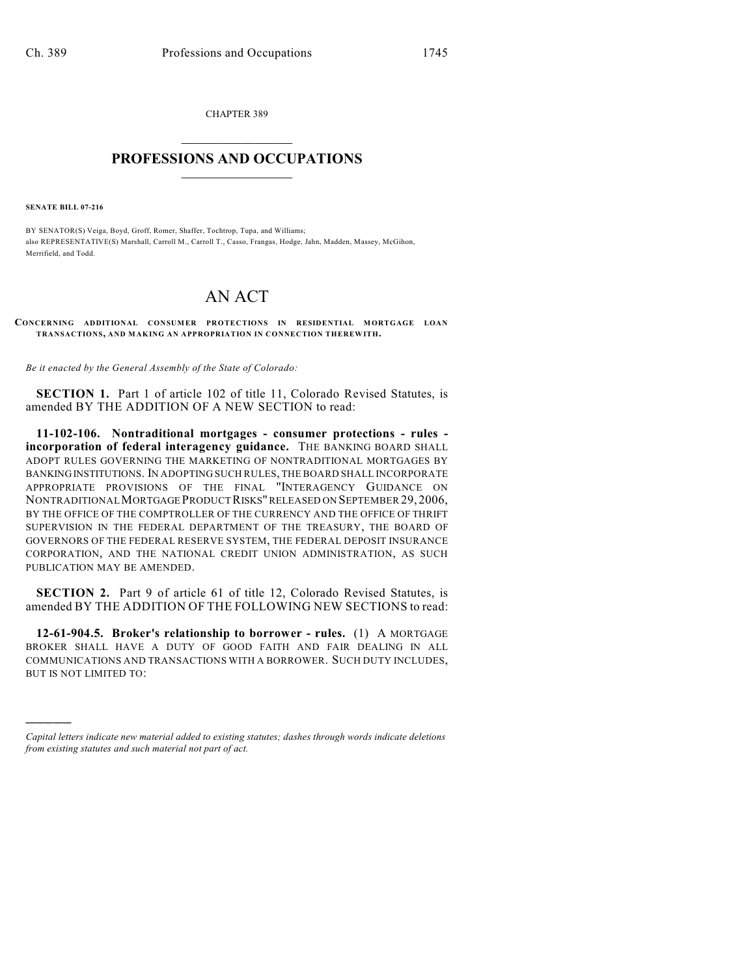CHAPTER 389  $\overline{\phantom{a}}$  . The set of the set of the set of the set of the set of the set of the set of the set of the set of the set of the set of the set of the set of the set of the set of the set of the set of the set of the set o

## **PROFESSIONS AND OCCUPATIONS**  $\frac{1}{2}$  ,  $\frac{1}{2}$  ,  $\frac{1}{2}$  ,  $\frac{1}{2}$  ,  $\frac{1}{2}$  ,  $\frac{1}{2}$

**SENATE BILL 07-216**

)))))

BY SENATOR(S) Veiga, Boyd, Groff, Romer, Shaffer, Tochtrop, Tupa, and Williams; also REPRESENTATIVE(S) Marshall, Carroll M., Carroll T., Casso, Frangas, Hodge, Jahn, Madden, Massey, McGihon, Merrifield, and Todd.

## AN ACT

**CONCERNING ADDITIONAL CONSUMER PROTECTIONS IN RESIDENTIAL MORTGAGE LOAN TRANSACTIONS, AND MAKING AN APPROPRIATION IN CONNECTION THEREWITH.**

*Be it enacted by the General Assembly of the State of Colorado:*

**SECTION 1.** Part 1 of article 102 of title 11, Colorado Revised Statutes, is amended BY THE ADDITION OF A NEW SECTION to read:

**11-102-106. Nontraditional mortgages - consumer protections - rules incorporation of federal interagency guidance.** THE BANKING BOARD SHALL ADOPT RULES GOVERNING THE MARKETING OF NONTRADITIONAL MORTGAGES BY BANKING INSTITUTIONS. IN ADOPTING SUCH RULES, THE BOARD SHALL INCORPORATE APPROPRIATE PROVISIONS OF THE FINAL "INTERAGENCY GUIDANCE ON NONTRADITIONAL MORTGAGE PRODUCT RISKS" RELEASED ON SEPTEMBER 29, 2006, BY THE OFFICE OF THE COMPTROLLER OF THE CURRENCY AND THE OFFICE OF THRIFT SUPERVISION IN THE FEDERAL DEPARTMENT OF THE TREASURY, THE BOARD OF GOVERNORS OF THE FEDERAL RESERVE SYSTEM, THE FEDERAL DEPOSIT INSURANCE CORPORATION, AND THE NATIONAL CREDIT UNION ADMINISTRATION, AS SUCH PUBLICATION MAY BE AMENDED.

**SECTION 2.** Part 9 of article 61 of title 12. Colorado Revised Statutes, is amended BY THE ADDITION OF THE FOLLOWING NEW SECTIONS to read:

**12-61-904.5. Broker's relationship to borrower - rules.** (1) A MORTGAGE BROKER SHALL HAVE A DUTY OF GOOD FAITH AND FAIR DEALING IN ALL COMMUNICATIONS AND TRANSACTIONS WITH A BORROWER. SUCH DUTY INCLUDES, BUT IS NOT LIMITED TO:

*Capital letters indicate new material added to existing statutes; dashes through words indicate deletions from existing statutes and such material not part of act.*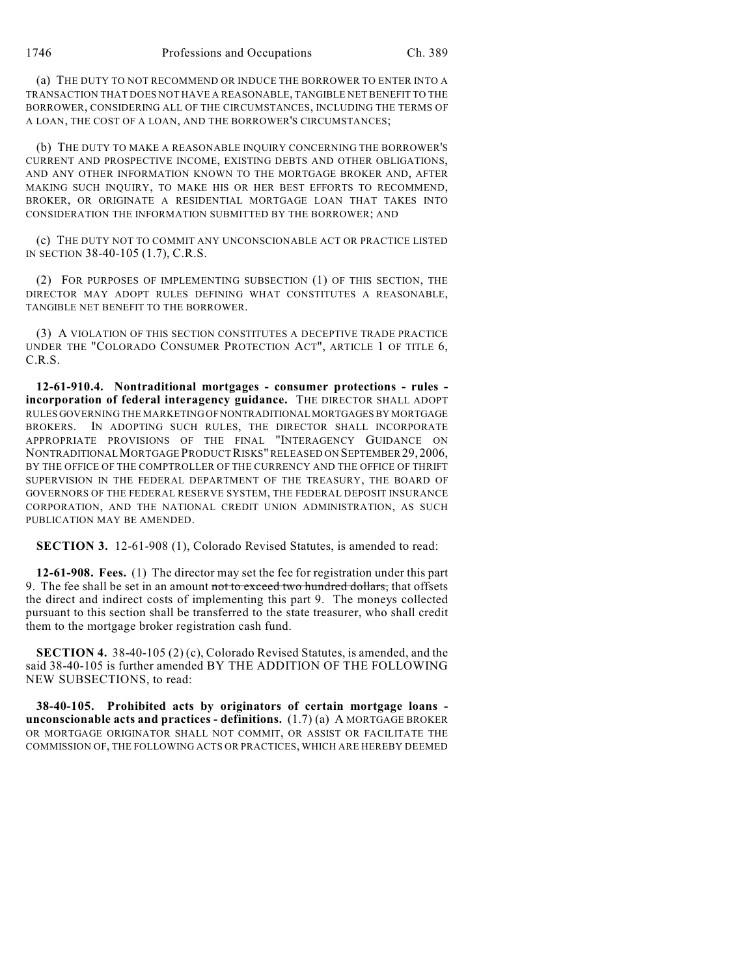(a) THE DUTY TO NOT RECOMMEND OR INDUCE THE BORROWER TO ENTER INTO A TRANSACTION THAT DOES NOT HAVE A REASONABLE, TANGIBLE NET BENEFIT TO THE BORROWER, CONSIDERING ALL OF THE CIRCUMSTANCES, INCLUDING THE TERMS OF A LOAN, THE COST OF A LOAN, AND THE BORROWER'S CIRCUMSTANCES;

(b) THE DUTY TO MAKE A REASONABLE INQUIRY CONCERNING THE BORROWER'S CURRENT AND PROSPECTIVE INCOME, EXISTING DEBTS AND OTHER OBLIGATIONS, AND ANY OTHER INFORMATION KNOWN TO THE MORTGAGE BROKER AND, AFTER MAKING SUCH INQUIRY, TO MAKE HIS OR HER BEST EFFORTS TO RECOMMEND, BROKER, OR ORIGINATE A RESIDENTIAL MORTGAGE LOAN THAT TAKES INTO CONSIDERATION THE INFORMATION SUBMITTED BY THE BORROWER; AND

(c) THE DUTY NOT TO COMMIT ANY UNCONSCIONABLE ACT OR PRACTICE LISTED IN SECTION 38-40-105 (1.7), C.R.S.

(2) FOR PURPOSES OF IMPLEMENTING SUBSECTION (1) OF THIS SECTION, THE DIRECTOR MAY ADOPT RULES DEFINING WHAT CONSTITUTES A REASONABLE, TANGIBLE NET BENEFIT TO THE BORROWER.

(3) A VIOLATION OF THIS SECTION CONSTITUTES A DECEPTIVE TRADE PRACTICE UNDER THE "COLORADO CONSUMER PROTECTION ACT", ARTICLE 1 OF TITLE 6, C.R.S.

**12-61-910.4. Nontraditional mortgages - consumer protections - rules incorporation of federal interagency guidance.** THE DIRECTOR SHALL ADOPT RULES GOVERNING THE MARKETING OF NONTRADITIONAL MORTGAGES BY MORTGAGE BROKERS. IN ADOPTING SUCH RULES, THE DIRECTOR SHALL INCORPORATE APPROPRIATE PROVISIONS OF THE FINAL "INTERAGENCY GUIDANCE ON NONTRADITIONAL MORTGAGE PRODUCT RISKS" RELEASED ON SEPTEMBER29,2006, BY THE OFFICE OF THE COMPTROLLER OF THE CURRENCY AND THE OFFICE OF THRIFT SUPERVISION IN THE FEDERAL DEPARTMENT OF THE TREASURY, THE BOARD OF GOVERNORS OF THE FEDERAL RESERVE SYSTEM, THE FEDERAL DEPOSIT INSURANCE CORPORATION, AND THE NATIONAL CREDIT UNION ADMINISTRATION, AS SUCH PUBLICATION MAY BE AMENDED.

**SECTION 3.** 12-61-908 (1), Colorado Revised Statutes, is amended to read:

**12-61-908. Fees.** (1) The director may set the fee for registration under this part 9. The fee shall be set in an amount not to exceed two hundred dollars, that offsets the direct and indirect costs of implementing this part 9. The moneys collected pursuant to this section shall be transferred to the state treasurer, who shall credit them to the mortgage broker registration cash fund.

**SECTION 4.** 38-40-105 (2) (c), Colorado Revised Statutes, is amended, and the said 38-40-105 is further amended BY THE ADDITION OF THE FOLLOWING NEW SUBSECTIONS, to read:

**38-40-105. Prohibited acts by originators of certain mortgage loans unconscionable acts and practices - definitions.** (1.7) (a) A MORTGAGE BROKER OR MORTGAGE ORIGINATOR SHALL NOT COMMIT, OR ASSIST OR FACILITATE THE COMMISSION OF, THE FOLLOWING ACTS OR PRACTICES, WHICH ARE HEREBY DEEMED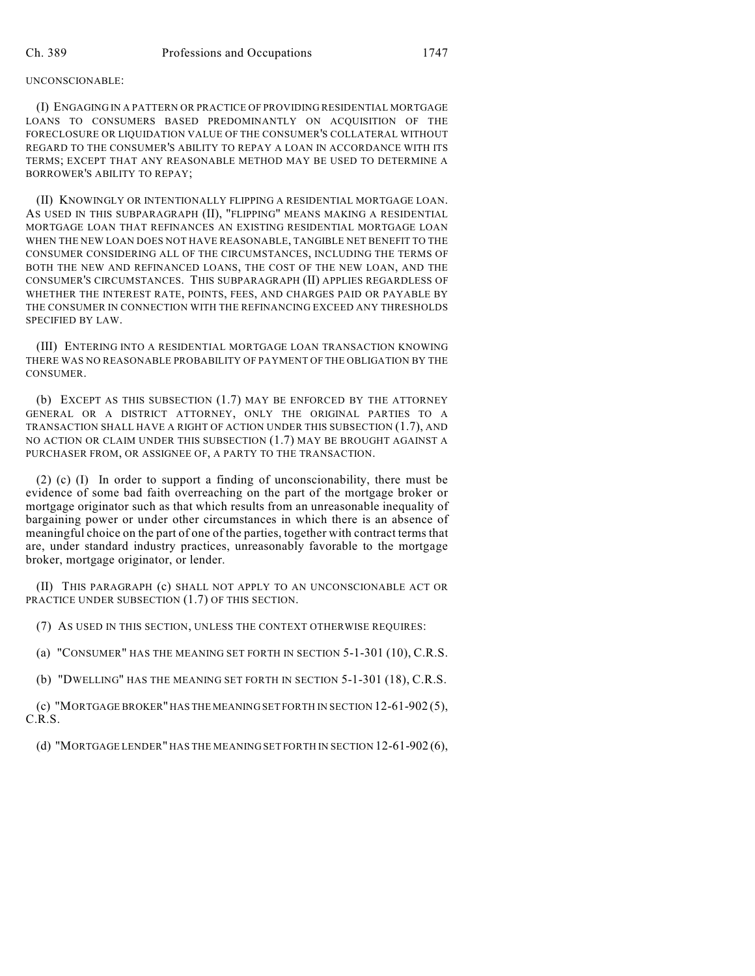## UNCONSCIONABLE:

(I) ENGAGING IN A PATTERN OR PRACTICE OF PROVIDING RESIDENTIAL MORTGAGE LOANS TO CONSUMERS BASED PREDOMINANTLY ON ACQUISITION OF THE FORECLOSURE OR LIQUIDATION VALUE OF THE CONSUMER'S COLLATERAL WITHOUT REGARD TO THE CONSUMER'S ABILITY TO REPAY A LOAN IN ACCORDANCE WITH ITS TERMS; EXCEPT THAT ANY REASONABLE METHOD MAY BE USED TO DETERMINE A BORROWER'S ABILITY TO REPAY;

(II) KNOWINGLY OR INTENTIONALLY FLIPPING A RESIDENTIAL MORTGAGE LOAN. AS USED IN THIS SUBPARAGRAPH (II), "FLIPPING" MEANS MAKING A RESIDENTIAL MORTGAGE LOAN THAT REFINANCES AN EXISTING RESIDENTIAL MORTGAGE LOAN WHEN THE NEW LOAN DOES NOT HAVE REASONABLE, TANGIBLE NET BENEFIT TO THE CONSUMER CONSIDERING ALL OF THE CIRCUMSTANCES, INCLUDING THE TERMS OF BOTH THE NEW AND REFINANCED LOANS, THE COST OF THE NEW LOAN, AND THE CONSUMER'S CIRCUMSTANCES. THIS SUBPARAGRAPH (II) APPLIES REGARDLESS OF WHETHER THE INTEREST RATE, POINTS, FEES, AND CHARGES PAID OR PAYABLE BY THE CONSUMER IN CONNECTION WITH THE REFINANCING EXCEED ANY THRESHOLDS SPECIFIED BY LAW.

(III) ENTERING INTO A RESIDENTIAL MORTGAGE LOAN TRANSACTION KNOWING THERE WAS NO REASONABLE PROBABILITY OF PAYMENT OF THE OBLIGATION BY THE CONSUMER.

(b) EXCEPT AS THIS SUBSECTION (1.7) MAY BE ENFORCED BY THE ATTORNEY GENERAL OR A DISTRICT ATTORNEY, ONLY THE ORIGINAL PARTIES TO A TRANSACTION SHALL HAVE A RIGHT OF ACTION UNDER THIS SUBSECTION (1.7), AND NO ACTION OR CLAIM UNDER THIS SUBSECTION (1.7) MAY BE BROUGHT AGAINST A PURCHASER FROM, OR ASSIGNEE OF, A PARTY TO THE TRANSACTION.

(2) (c) (I) In order to support a finding of unconscionability, there must be evidence of some bad faith overreaching on the part of the mortgage broker or mortgage originator such as that which results from an unreasonable inequality of bargaining power or under other circumstances in which there is an absence of meaningful choice on the part of one of the parties, together with contract terms that are, under standard industry practices, unreasonably favorable to the mortgage broker, mortgage originator, or lender.

(II) THIS PARAGRAPH (c) SHALL NOT APPLY TO AN UNCONSCIONABLE ACT OR PRACTICE UNDER SUBSECTION (1.7) OF THIS SECTION.

(7) AS USED IN THIS SECTION, UNLESS THE CONTEXT OTHERWISE REQUIRES:

(a) "CONSUMER" HAS THE MEANING SET FORTH IN SECTION 5-1-301 (10), C.R.S.

(b) "DWELLING" HAS THE MEANING SET FORTH IN SECTION 5-1-301 (18), C.R.S.

(c) "MORTGAGE BROKER" HAS THE MEANING SET FORTH IN SECTION 12-61-902 (5), C.R.S.

(d) "MORTGAGE LENDER" HAS THE MEANING SET FORTH IN SECTION 12-61-902 (6),